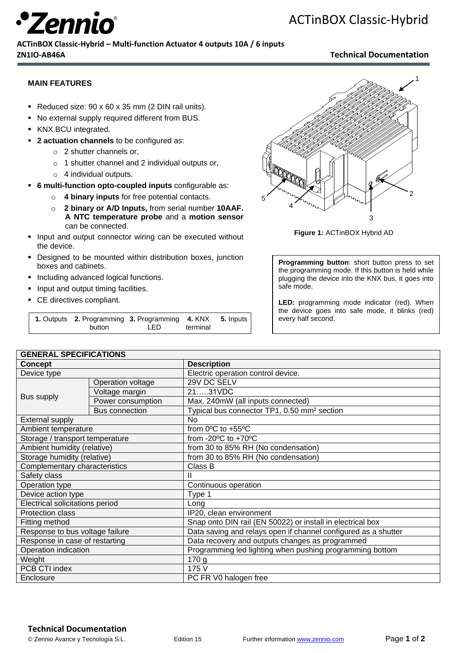

### **ACTinBOX Classic-Hybrid – Multi-function Actuator 4 outputs 10A / 6 inputs ZN1IO-AB46A Technical Documentation**

### **MAIN FEATURES**

- Reduced size: 90 x 60 x 35 mm (2 DIN rail units).
- No external supply required different from BUS.
- KNX BCU integrated.
- **2 actuation channels** to be configured as:
	- o 2 shutter channels or,
	- o 1 shutter channel and 2 individual outputs or,
	- o 4 individual outputs.
- **6 multi-function opto-coupled inputs** configurable as:
	- o **4 binary inputs** for free potential contacts.
	- o **2 binary or A/D Inputs,** from serial number **10AAF. A NTC temperature probe** and a **motion sensor**  can be connected.
- **Input and output connector wiring can be executed without** the device.
- Designed to be mounted within distribution boxes, junction boxes and cabinets.
- **Including advanced logical functions.**
- **Input and output timing facilities.**
- CE directives compliant.

| 1. Outputs 2. Programming 3. Programming 4. KNX 5. Inputs |     |          |  |
|-----------------------------------------------------------|-----|----------|--|
| button                                                    | LED | terminal |  |



**Figure 1:** ACTinBOX Hybrid AD

**Programming button**: short button press to set the programming mode. If this button is held while plugging the device into the KNX bus, it goes into safe mode.

**LED:** programming mode indicator (red). When the device goes into safe mode, it blinks (red) every half second.

| <b>GENERAL SPECIFICATIONS</b>   |                       |                                                                |  |  |
|---------------------------------|-----------------------|----------------------------------------------------------------|--|--|
| Concept                         |                       | <b>Description</b>                                             |  |  |
| Device type                     |                       | Electric operation control device.                             |  |  |
| Bus supply                      | Operation voltage     | 29V DC SELV                                                    |  |  |
|                                 | Voltage margin        | 2131VDC                                                        |  |  |
|                                 | Power consumption     | Max. 240mW (all inputs connected)                              |  |  |
|                                 | <b>Bus connection</b> | Typical bus connector TP1, 0.50 mm <sup>2</sup> section        |  |  |
| <b>External supply</b>          |                       | No.                                                            |  |  |
| Ambient temperature             |                       | from $0^{\circ}$ C to +55 $^{\circ}$ C                         |  |  |
| Storage / transport temperature |                       | from -20 $\degree$ C to +70 $\degree$ C                        |  |  |
| Ambient humidity (relative)     |                       | from 30 to 85% RH (No condensation)                            |  |  |
| Storage humidity (relative)     |                       | from 30 to 85% RH (No condensation)                            |  |  |
| Complementary characteristics   |                       | Class B                                                        |  |  |
| Safety class                    |                       | Ш                                                              |  |  |
| Operation type                  |                       | Continuous operation                                           |  |  |
| Device action type              |                       | Type 1                                                         |  |  |
| Electrical solicitations period |                       | Long                                                           |  |  |
| Protection class                |                       | IP20, clean environment                                        |  |  |
| Fitting method                  |                       | Snap onto DIN rail (EN 50022) or install in electrical box     |  |  |
| Response to bus voltage failure |                       | Data saving and relays open if channel configured as a shutter |  |  |
| Response in case of restarting  |                       | Data recovery and outputs changes as programmed                |  |  |
| Operation indication            |                       | Programming led lighting when pushing programming bottom       |  |  |
| Weight                          |                       | 170 g                                                          |  |  |
| PCB CTI index                   |                       | 175 V                                                          |  |  |
| Enclosure                       |                       | PC FR V0 halogen free                                          |  |  |

#### **Technical Documentation**

© Zennio Avance y Tecnología S.L. Edition 15 Further information www.zennio.com Page **1** of **2**